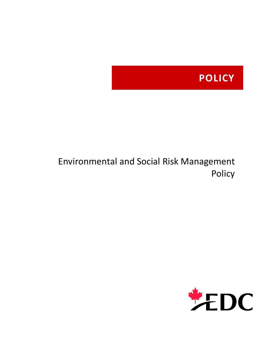# **POLICY**

## Environmental and Social Risk Management Policy

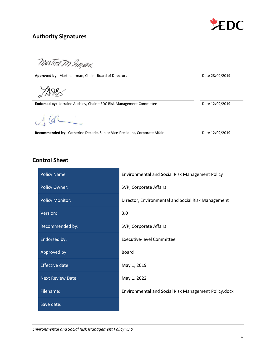

## **Authority Signatures**

martine In Grossen

Approved by: Martine Irman, Chair - Board of Directors **Date 28/02/2019** Date 28/02/2019

Endorsed by: Lorraine Audsley, Chair – EDC Risk Management Committee Date 12/02/2019

 $\sigma$ 

Recommended by: Catherine Decarie, Senior Vice-President, Corporate Affairs Date 12/02/2019

## **Control Sheet**

| <b>Policy Name:</b>      | Environmental and Social Risk Management Policy      |
|--------------------------|------------------------------------------------------|
| <b>Policy Owner:</b>     | SVP, Corporate Affairs                               |
| <b>Policy Monitor:</b>   | Director, Environmental and Social Risk Management   |
| Version:                 | 3.0                                                  |
| Recommended by:          | SVP, Corporate Affairs                               |
| Endorsed by:             | <b>Executive-level Committee</b>                     |
| Approved by:             | Board                                                |
| <b>Effective date:</b>   | May 1, 2019                                          |
| <b>Next Review Date:</b> | May 1, 2022                                          |
| Filename:                | Environmental and Social Risk Management Policy.docx |
| Save date:               |                                                      |

*Environmental and Social Risk Management Policy v3.0*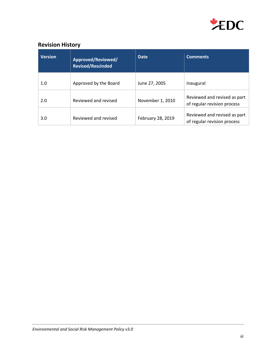

## **Revision History**

| <b>Version</b> | Approved/Reviewed/<br><b>Revised/Rescinded</b> | <b>Date</b>       | <b>Comments</b>                                             |
|----------------|------------------------------------------------|-------------------|-------------------------------------------------------------|
| 1.0            | Approved by the Board                          | June 27, 2005     | Inaugural                                                   |
| 2.0            | Reviewed and revised                           | November 1, 2010  | Reviewed and revised as part<br>of regular revision process |
| 3.0            | Reviewed and revised                           | February 28, 2019 | Reviewed and revised as part<br>of regular revision process |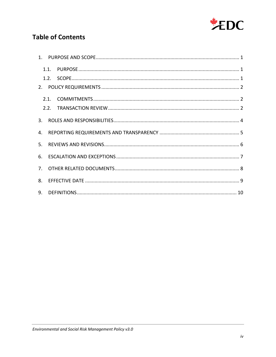

## **Table of Contents**

| 3. |  |  |
|----|--|--|
| 4. |  |  |
|    |  |  |
| 6. |  |  |
|    |  |  |
| 8. |  |  |
|    |  |  |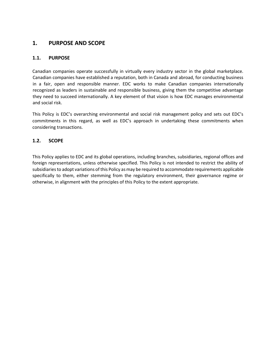## <span id="page-4-0"></span>**1. PURPOSE AND SCOPE**

#### <span id="page-4-1"></span>**1.1. PURPOSE**

Canadian companies operate successfully in virtually every industry sector in the global marketplace. Canadian companies have established a reputation, both in Canada and abroad, for conducting business in a fair, open and responsible manner. EDC works to make Canadian companies internationally recognized as leaders in sustainable and responsible business, giving them the competitive advantage they need to succeed internationally. A key element of that vision is how EDC manages environmental and social risk.

This Policy is EDC's overarching environmental and social risk management policy and sets out EDC's commitments in this regard, as well as EDC's approach in undertaking these commitments when considering transactions.

#### <span id="page-4-2"></span>**1.2. SCOPE**

This Policy applies to EDC and its global operations, including branches, subsidiaries, regional offices and foreign representations, unless otherwise specified. This Policy is not intended to restrict the ability of subsidiaries to adopt variations of this Policy as may be required to accommodate requirements applicable specifically to them, either stemming from the regulatory environment, their governance regime or otherwise, in alignment with the principles of this Policy to the extent appropriate.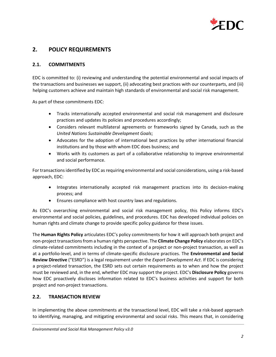

## <span id="page-5-0"></span>**2. POLICY REQUIREMENTS**

#### <span id="page-5-1"></span>**2.1. COMMITMENTS**

EDC is committed to: (i) reviewing and understanding the potential environmental and social impacts of the transactions and businesses we support, (ii) advocating best practices with our counterparts, and (iii) helping customers achieve and maintain high standards of environmental and social risk management.

As part of these commitments EDC:

- Tracks internationally accepted environmental and social risk management and disclosure practices and updates its policies and procedures accordingly;
- Considers relevant multilateral agreements or frameworks signed by Canada, such as the *United Nations Sustainable Development Goals*;
- Advocates for the adoption of international best practices by other international financial institutions and by those with whom EDC does business; and
- Works with its customers as part of a collaborative relationship to improve environmental and social performance.

For transactions identified by EDC as requiring environmental and social considerations, using a risk-based approach, EDC:

- Integrates internationally accepted risk management practices into its decision-making process; and
- Ensures compliance with host country laws and regulations.

As EDC's overarching environmental and social risk management policy, this Policy informs EDC's environmental and social policies, guidelines, and procedures. EDC has developed individual policies on human rights and climate change to provide specific policy guidance for these issues.

The **Human Rights Policy** articulates EDC's policy commitments for how it will approach both project and non-project transactions from a human rights perspective. The **Climate Change Policy** elaborates on EDC's climate-related commitments including in the context of a project or non-project transaction, as well as at a portfolio-level, and in terms of climate-specific disclosure practices. The **Environmental and Social Review Directive** ("ESRD") is a legal requirement under the *Export Development Act*. If EDC is considering a project-related transaction, the ESRD sets out certain requirements as to when and how the project must be reviewed and, in the end, whether EDC may support the project. EDC's **Disclosure Policy** governs how EDC proactively discloses information related to EDC's business activities and support for both project and non-project transactions.

#### <span id="page-5-2"></span>**2.2. TRANSACTION REVIEW**

In implementing the above commitments at the transactional level, EDC will take a risk-based approach to identifying, managing, and mitigating environmental and social risks. This means that, in considering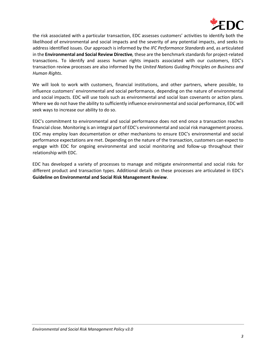

the risk associated with a particular transaction, EDC assesses customers' activities to identify both the likelihood of environmental and social impacts and the severity of any potential impacts, and seeks to address identified issues. Our approach is informed by the *IFC Performance Standards* and, as articulated in the **Environmental and Social Review Directive***,* these are the benchmark standards for project-related transactions. To identify and assess human rights impacts associated with our customers, EDC's transaction review processes are also informed by the *United Nations Guiding Principles on Business and Human Rights*.

We will look to work with customers, financial institutions, and other partners, where possible, to influence customers' environmental and social performance, depending on the nature of environmental and social impacts. EDC will use tools such as environmental and social loan covenants or action plans. Where we do not have the ability to sufficiently influence environmental and social performance, EDC will seek ways to increase our ability to do so.

EDC's commitment to environmental and social performance does not end once a transaction reaches financial close. Monitoring is an integral part of EDC's environmental and social risk management process. EDC may employ loan documentation or other mechanisms to ensure EDC's environmental and social performance expectations are met. Depending on the nature of the transaction, customers can expect to engage with EDC for ongoing environmental and social monitoring and follow-up throughout their relationship with EDC.

EDC has developed a variety of processes to manage and mitigate environmental and social risks for different product and transaction types. Additional details on these processes are articulated in EDC's **Guideline on Environmental and Social Risk Management Review**.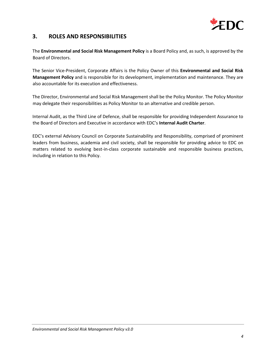

## <span id="page-7-0"></span>**3. ROLES AND RESPONSIBILITIES**

The **Environmental and Social Risk Management Policy** is a Board Policy and, as such, is approved by the Board of Directors.

The Senior Vice-President, Corporate Affairs is the Policy Owner of this **Environmental and Social Risk Management Policy** and is responsible for its development, implementation and maintenance. They are also accountable for its execution and effectiveness.

The Director, Environmental and Social Risk Management shall be the Policy Monitor. The Policy Monitor may delegate their responsibilities as Policy Monitor to an alternative and credible person.

Internal Audit, as the Third Line of Defence, shall be responsible for providing Independent Assurance to the Board of Directors and Executive in accordance with EDC's **Internal Audit Charter**.

EDC's external Advisory Council on Corporate Sustainability and Responsibility, comprised of prominent leaders from business, academia and civil society, shall be responsible for providing advice to EDC on matters related to evolving best-in-class corporate sustainable and responsible business practices, including in relation to this Policy.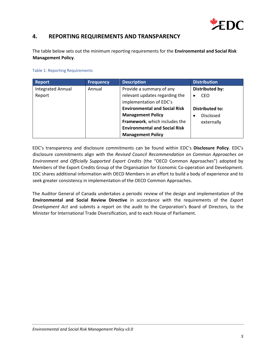

## <span id="page-8-0"></span>**4. REPORTING REQUIREMENTS AND TRANSPARENCY**

The table below sets out the minimum reporting requirements for the **Environmental and Social Risk Management Policy**.

#### Table 1: Reporting Requirements

| <b>Report</b>            | <b>Frequency</b> | <b>Description</b>                   | <b>Distribution</b>    |
|--------------------------|------------------|--------------------------------------|------------------------|
| <b>Integrated Annual</b> | Annual           | Provide a summary of any             | <b>Distributed by:</b> |
| Report                   |                  | relevant updates regarding the       | <b>CEO</b>             |
|                          |                  | implementation of EDC's              |                        |
|                          |                  | <b>Environmental and Social Risk</b> | <b>Distributed to:</b> |
|                          |                  | <b>Management Policy</b>             | <b>Disclosed</b>       |
|                          |                  | Framework, which includes the        | externally             |
|                          |                  | <b>Environmental and Social Risk</b> |                        |
|                          |                  | <b>Management Policy</b>             |                        |

EDC's transparency and disclosure commitments can be found within EDC's **Disclosure Policy**. EDC's disclosure commitments align with the *Revised Council Recommendation on Common Approaches on Environment and Officially Supported Export Credits* (the "OECD Common Approaches") adopted by Members of the Export Credits Group of the Organisation for Economic Co-operation and Development. EDC shares additional information with OECD Members in an effort to build a body of experience and to seek greater consistency in implementation of the OECD Common Approaches.

The Auditor General of Canada undertakes a periodic review of the design and implementation of the **Environmental and Social Review Directive** in accordance with the requirements of the *Export Development Act* and submits a report on the audit to the Corporation's Board of Directors, to the Minister for International Trade Diversification, and to each House of Parliament.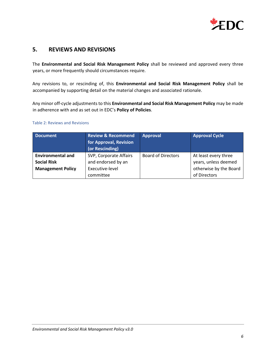

### <span id="page-9-0"></span>**5. REVIEWS AND REVISIONS**

The **Environmental and Social Risk Management Policy** shall be reviewed and approved every three years, or more frequently should circumstances require.

Any revisions to, or rescinding of, this **Environmental and Social Risk Management Policy** shall be accompanied by supporting detail on the material changes and associated rationale.

Any minor off-cycle adjustments to this **Environmental and Social Risk Management Policy** may be made in adherence with and as set out in EDC's **Policy of Policies**.

#### Table 2: Reviews and Revisions

| <b>Document</b>          | <b>Review &amp; Recommend</b><br>for Approval, Revision<br>(or Rescinding) | <b>Approval</b>           | <b>Approval Cycle</b>  |
|--------------------------|----------------------------------------------------------------------------|---------------------------|------------------------|
| <b>Environmental and</b> | SVP, Corporate Affairs                                                     | <b>Board of Directors</b> | At least every three   |
| <b>Social Risk</b>       | and endorsed by an                                                         |                           | years, unless deemed   |
| <b>Management Policy</b> | Executive-level                                                            |                           | otherwise by the Board |
|                          | committee                                                                  |                           | of Directors           |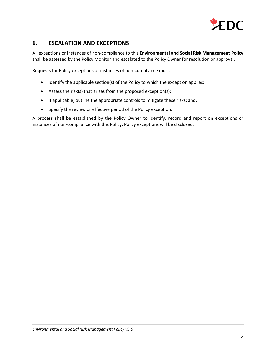

## <span id="page-10-0"></span>**6. ESCALATION AND EXCEPTIONS**

All exceptions or instances of non-compliance to this **Environmental and Social Risk Management Policy** shall be assessed by the Policy Monitor and escalated to the Policy Owner for resolution or approval.

Requests for Policy exceptions or instances of non-compliance must:

- Identify the applicable section(s) of the Policy to which the exception applies;
- Assess the risk(s) that arises from the proposed exception(s);
- If applicable, outline the appropriate controls to mitigate these risks; and,
- Specify the review or effective period of the Policy exception.

A process shall be established by the Policy Owner to identify, record and report on exceptions or instances of non-compliance with this Policy. Policy exceptions will be disclosed.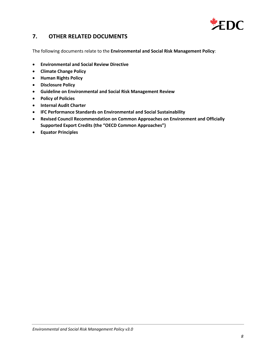

## <span id="page-11-0"></span>**7. OTHER RELATED DOCUMENTS**

The following documents relate to the **Environmental and Social Risk Management Policy**:

- **Environmental and Social Review Directive**
- **Climate Change Policy**
- **Human Rights Policy**
- **Disclosure Policy**
- **Guideline on Environmental and Social Risk Management Review**
- **Policy of Policies**
- **Internal Audit Charter**
- **IFC Performance Standards on Environmental and Social Sustainability**
- **Revised Council Recommendation on Common Approaches on Environment and Officially Supported Export Credits (the "OECD Common Approaches")**
- **Equator Principles**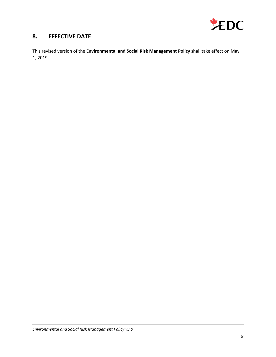

## <span id="page-12-0"></span>**8. EFFECTIVE DATE**

This revised version of the **Environmental and Social Risk Management Policy** shall take effect on May 1, 2019.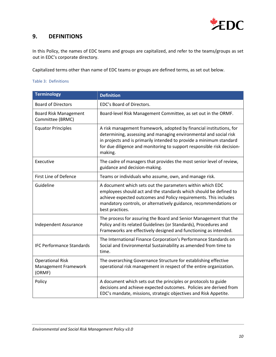

## <span id="page-13-0"></span>**9. DEFINITIONS**

In this Policy, the names of EDC teams and groups are capitalized, and refer to the teams/groups as set out in EDC's corporate directory.

Capitalized terms other than name of EDC teams or groups are defined terms, as set out below.

Table 3: Definitions

| <b>Terminology</b>                                        | <b>Definition</b>                                                                                                                                                                                                                                                                                    |
|-----------------------------------------------------------|------------------------------------------------------------------------------------------------------------------------------------------------------------------------------------------------------------------------------------------------------------------------------------------------------|
| <b>Board of Directors</b>                                 | EDC's Board of Directors.                                                                                                                                                                                                                                                                            |
| <b>Board Risk Management</b><br>Committee (BRMC)          | Board-level Risk Management Committee, as set out in the ORMF.                                                                                                                                                                                                                                       |
| <b>Equator Principles</b>                                 | A risk management framework, adopted by financial institutions, for<br>determining, assessing and managing environmental and social risk<br>in projects and is primarily intended to provide a minimum standard<br>for due diligence and monitoring to support responsible risk decision-<br>making. |
| Executive                                                 | The cadre of managers that provides the most senior level of review,<br>guidance and decision-making.                                                                                                                                                                                                |
| First Line of Defence                                     | Teams or individuals who assume, own, and manage risk.                                                                                                                                                                                                                                               |
| Guideline                                                 | A document which sets out the parameters within which EDC<br>employees should act and the standards which should be defined to<br>achieve expected outcomes and Policy requirements. This includes<br>mandatory controls, or alternatively guidance, recommendations or<br>best practices.           |
| <b>Independent Assurance</b>                              | The process for assuring the Board and Senior Management that the<br>Policy and its related Guidelines (or Standards), Procedures and<br>Frameworks are effectively designed and functioning as intended.                                                                                            |
| <b>IFC Performance Standards</b>                          | The International Finance Corporation's Performance Standards on<br>Social and Environmental Sustainability as amended from time to<br>time.                                                                                                                                                         |
| <b>Operational Risk</b><br>Management Framework<br>(ORMF) | The overarching Governance Structure for establishing effective<br>operational risk management in respect of the entire organization.                                                                                                                                                                |
| Policy                                                    | A document which sets out the principles or protocols to guide<br>decisions and achieve expected outcomes. Policies are derived from<br>EDC's mandate, missions, strategic objectives and Risk Appetite.                                                                                             |